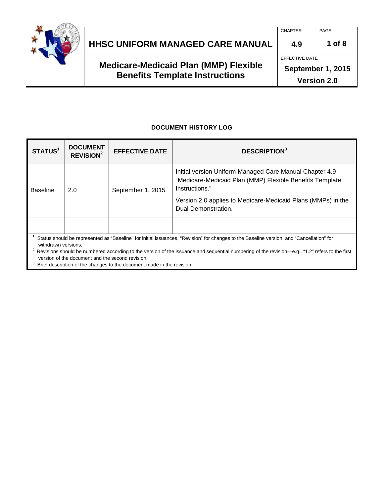

|                                              | <b>CHAPTER</b>     | PAGE     |
|----------------------------------------------|--------------------|----------|
| <b>HHSC UNIFORM MANAGED CARE MANUAL</b>      | 4.9                | 1 of $8$ |
|                                              | EFFECTIVE DATE     |          |
| <b>Medicare-Medicaid Plan (MMP) Flexible</b> | September 1, 2015  |          |
| <b>Benefits Template Instructions</b>        | <b>Version 2.0</b> |          |

#### **DOCUMENT HISTORY LOG**

| STATUS <sup>1</sup>                                                                                                                                                                                                                                                                                                                                                                                                                                  | <b>DOCUMENT</b><br><b>REVISION<sup>2</sup></b> | <b>EFFECTIVE DATE</b> | <b>DESCRIPTION</b> <sup>3</sup>                                                                                                                                                                                              |
|------------------------------------------------------------------------------------------------------------------------------------------------------------------------------------------------------------------------------------------------------------------------------------------------------------------------------------------------------------------------------------------------------------------------------------------------------|------------------------------------------------|-----------------------|------------------------------------------------------------------------------------------------------------------------------------------------------------------------------------------------------------------------------|
| <b>Baseline</b>                                                                                                                                                                                                                                                                                                                                                                                                                                      | 2.0                                            | September 1, 2015     | Initial version Uniform Managed Care Manual Chapter 4.9<br>"Medicare-Medicaid Plan (MMP) Flexible Benefits Template<br>Instructions."<br>Version 2.0 applies to Medicare-Medicaid Plans (MMPs) in the<br>Dual Demonstration. |
|                                                                                                                                                                                                                                                                                                                                                                                                                                                      |                                                |                       |                                                                                                                                                                                                                              |
| Status should be represented as "Baseline" for initial issuances, "Revision" for changes to the Baseline version, and "Cancellation" for<br>withdrawn versions.<br>2<br>Revisions should be numbered according to the version of the issuance and sequential numbering of the revision-e.g., "1.2" refers to the first<br>version of the document and the second revision.<br>Brief description of the changes to the document made in the revision. |                                                |                       |                                                                                                                                                                                                                              |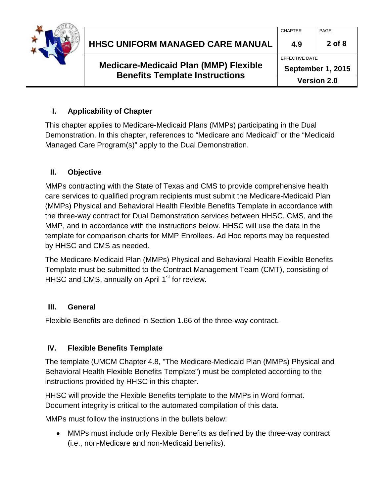

|  | <b>Medicare-Medicaid Plan (MMP) Flexible</b><br><b>Benefits Template Instructions</b> | September 1, 2015 |          |
|--|---------------------------------------------------------------------------------------|-------------------|----------|
|  |                                                                                       | EFFECTIVE DATE    |          |
|  | <b>HHSC UNIFORM MANAGED CARE MANUAL</b>                                               | 4.9               | $2$ of 8 |
|  |                                                                                       | <b>CHAPTER</b>    | PAGE     |

### **I. Applicability of Chapter**

This chapter applies to Medicare-Medicaid Plans (MMPs) participating in the Dual Demonstration. In this chapter, references to "Medicare and Medicaid" or the "Medicaid Managed Care Program(s)" apply to the Dual Demonstration.

### **II. Objective**

MMPs contracting with the State of Texas and CMS to provide comprehensive health care services to qualified program recipients must submit the Medicare-Medicaid Plan (MMPs) Physical and Behavioral Health Flexible Benefits Template in accordance with the three-way contract for Dual Demonstration services between HHSC, CMS, and the MMP, and in accordance with the instructions below. HHSC will use the data in the template for comparison charts for MMP Enrollees. Ad Hoc reports may be requested by HHSC and CMS as needed.

The Medicare-Medicaid Plan (MMPs) Physical and Behavioral Health Flexible Benefits Template must be submitted to the Contract Management Team (CMT), consisting of HHSC and CMS, annually on April 1<sup>st</sup> for review.

#### **III. General**

Flexible Benefits are defined in Section 1.66 of the three-way contract.

### **IV. Flexible Benefits Template**

The template (UMCM Chapter 4.8, "The Medicare-Medicaid Plan (MMPs) Physical and Behavioral Health Flexible Benefits Template") must be completed according to the instructions provided by HHSC in this chapter.

HHSC will provide the Flexible Benefits template to the MMPs in Word format. Document integrity is critical to the automated compilation of this data.

MMPs must follow the instructions in the bullets below:

• MMPs must include only Flexible Benefits as defined by the three-way contract (i.e., non-Medicare and non-Medicaid benefits).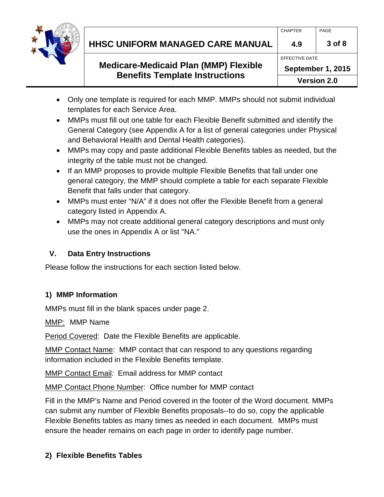

|                                         | CHAPTER        | PAGE   |
|-----------------------------------------|----------------|--------|
| <b>HHSC UNIFORM MANAGED CARE MANUAL</b> | 4.9            | 3 of 8 |
|                                         | EFFECTIVE DATE |        |

# **Medicare-Medicaid Plan (MMP) Flexible Benefits Template Instructions**

- Only one template is required for each MMP. MMPs should not submit individual templates for each Service Area.
- MMPs must fill out one table for each Flexible Benefit submitted and identify the General Category (see Appendix A for a list of general categories under Physical and Behavioral Health and Dental Health categories).
- MMPs may copy and paste additional Flexible Benefits tables as needed, but the integrity of the table must not be changed.
- If an MMP proposes to provide multiple Flexible Benefits that fall under one general category, the MMP should complete a table for each separate Flexible Benefit that falls under that category.
- MMPs must enter "N/A" if it does not offer the Flexible Benefit from a general category listed in Appendix A.
- MMPs may not create additional general category descriptions and must only use the ones in Appendix A or list "NA."

# **V. Data Entry Instructions**

Please follow the instructions for each section listed below.

# **1) MMP Information**

MMPs must fill in the blank spaces under page 2.

MMP: MMP Name

Period Covered: Date the Flexible Benefits are applicable.

MMP Contact Name: MMP contact that can respond to any questions regarding information included in the Flexible Benefits template.

MMP Contact Email*:* Email address for MMP contact

MMP Contact Phone Number: Office number for MMP contact

Fill in the MMP's Name and Period covered in the footer of the Word document. MMPs can submit any number of Flexible Benefits proposals--to do so, copy the applicable Flexible Benefits tables as many times as needed in each document. MMPs must ensure the header remains on each page in order to identify page number.

### **2) Flexible Benefits Tables**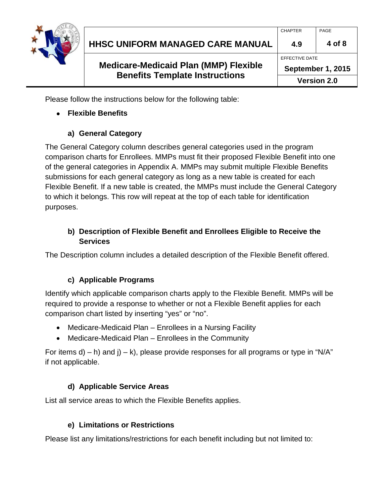

| <b>Benefits Template Instructions</b>        | <b>Version 2.0</b> |        |
|----------------------------------------------|--------------------|--------|
| <b>Medicare-Medicaid Plan (MMP) Flexible</b> | September 1, 2015  |        |
|                                              | EFFECTIVE DATE     |        |
| HHSC UNIFORM MANAGED CARE MANUAL             | 4.9                | 4 of 8 |
|                                              | <b>CHAPTER</b>     | PAGE   |
|                                              |                    |        |

Please follow the instructions below for the following table:

### • **Flexible Benefits**

### **a) General Category**

The General Category column describes general categories used in the program comparison charts for Enrollees. MMPs must fit their proposed Flexible Benefit into one of the general categories in Appendix A. MMPs may submit multiple Flexible Benefits submissions for each general category as long as a new table is created for each Flexible Benefit. If a new table is created, the MMPs must include the General Category to which it belongs. This row will repeat at the top of each table for identification purposes.

### **b) Description of Flexible Benefit and Enrollees Eligible to Receive the Services**

The Description column includes a detailed description of the Flexible Benefit offered.

# **c) Applicable Programs**

Identify which applicable comparison charts apply to the Flexible Benefit. MMPs will be required to provide a response to whether or not a Flexible Benefit applies for each comparison chart listed by inserting "yes" or "no".

- Medicare-Medicaid Plan Enrollees in a Nursing Facility
- Medicare-Medicaid Plan Enrollees in the Community

For items d) – h) and j) – k), please provide responses for all programs or type in "N/A" if not applicable.

# **d) Applicable Service Areas**

List all service areas to which the Flexible Benefits applies.

### **e) Limitations or Restrictions**

Please list any limitations/restrictions for each benefit including but not limited to: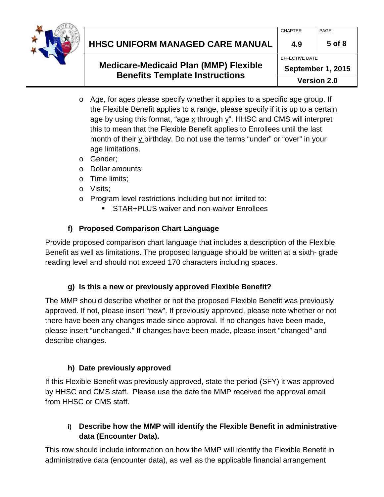

| HHSC UNIFORM MANAGED CARE MANUAL | 4.9     | 5 of 8 |
|----------------------------------|---------|--------|
|                                  | CHAPTER | PAGE   |

# **Medicare-Medicaid Plan (MMP) Flexible Benefits Template Instructions**

- o Age, for ages please specify whether it applies to a specific age group. If the Flexible Benefit applies to a range, please specify if it is up to a certain age by using this format, "age  $\underline{x}$  through  $\underline{y}$ ". HHSC and CMS will interpret this to mean that the Flexible Benefit applies to Enrollees until the last month of their  $\underline{v}$  birthday. Do not use the terms "under" or "over" in your age limitations.
- o Gender;
- o Dollar amounts;
- o Time limits;
- o Visits;
- o Program level restrictions including but not limited to:
	- **STAR+PLUS waiver and non-waiver Enrollees**

# **f) Proposed Comparison Chart Language**

Provide proposed comparison chart language that includes a description of the Flexible Benefit as well as limitations. The proposed language should be written at a sixth- grade reading level and should not exceed 170 characters including spaces.

# **g) Is this a new or previously approved Flexible Benefit?**

The MMP should describe whether or not the proposed Flexible Benefit was previously approved. If not, please insert "new". If previously approved, please note whether or not there have been any changes made since approval. If no changes have been made, please insert "unchanged." If changes have been made, please insert "changed" and describe changes.

# **h) Date previously approved**

If this Flexible Benefit was previously approved, state the period (SFY) it was approved by HHSC and CMS staff. Please use the date the MMP received the approval email from HHSC or CMS staff.

# **i) Describe how the MMP will identify the Flexible Benefit in administrative data (Encounter Data).**

This row should include information on how the MMP will identify the Flexible Benefit in administrative data (encounter data), as well as the applicable financial arrangement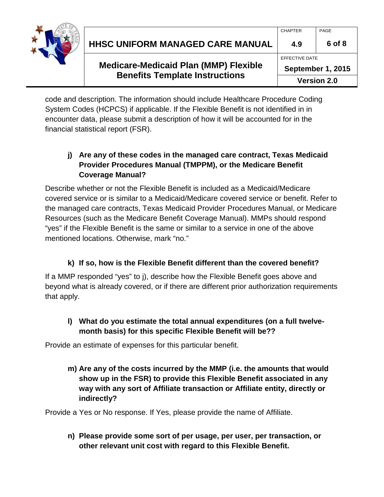

| <b>HHSC UNIFORM MANAGED CARE MANUAL</b> | 6 of 8 |
|-----------------------------------------|--------|
|                                         |        |

# **Medicare-Medicaid Plan (MMP) Flexible Benefits Template Instructions**

CHAPTER PAGE

code and description. The information should include Healthcare Procedure Coding System Codes (HCPCS) if applicable. If the Flexible Benefit is not identified in in encounter data, please submit a description of how it will be accounted for in the financial statistical report (FSR).

# **j) Are any of these codes in the managed care contract, Texas Medicaid Provider Procedures Manual (TMPPM), or the Medicare Benefit Coverage Manual?**

Describe whether or not the Flexible Benefit is included as a Medicaid/Medicare covered service or is similar to a Medicaid/Medicare covered service or benefit. Refer to the managed care contracts, Texas Medicaid Provider Procedures Manual, or Medicare Resources (such as the Medicare Benefit Coverage Manual). MMPs should respond "yes" if the Flexible Benefit is the same or similar to a service in one of the above mentioned locations. Otherwise, mark "no."

# **k) If so, how is the Flexible Benefit different than the covered benefit?**

If a MMP responded "yes" to j), describe how the Flexible Benefit goes above and beyond what is already covered, or if there are different prior authorization requirements that apply.

# **l) What do you estimate the total annual expenditures (on a full twelvemonth basis) for this specific Flexible Benefit will be??**

Provide an estimate of expenses for this particular benefit.

**m) Are any of the costs incurred by the MMP (i.e. the amounts that would show up in the FSR) to provide this Flexible Benefit associated in any way with any sort of Affiliate transaction or Affiliate entity, directly or indirectly?** 

Provide a Yes or No response. If Yes, please provide the name of Affiliate.

**n) Please provide some sort of per usage, per user, per transaction, or other relevant unit cost with regard to this Flexible Benefit.**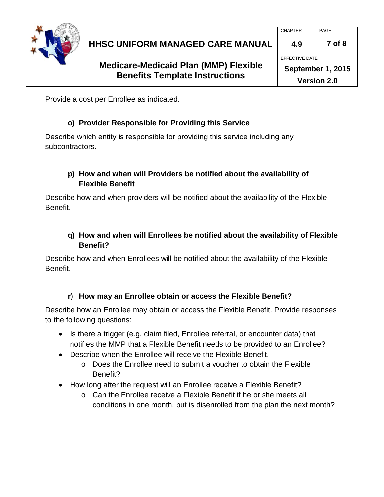

Provide a cost per Enrollee as indicated.

### **o) Provider Responsible for Providing this Service**

Describe which entity is responsible for providing this service including any subcontractors.

### **p) How and when will Providers be notified about the availability of Flexible Benefit**

Describe how and when providers will be notified about the availability of the Flexible Benefit.

### **q) How and when will Enrollees be notified about the availability of Flexible Benefit?**

Describe how and when Enrollees will be notified about the availability of the Flexible Benefit.

### **r) How may an Enrollee obtain or access the Flexible Benefit?**

Describe how an Enrollee may obtain or access the Flexible Benefit. Provide responses to the following questions:

- Is there a trigger (e.g. claim filed, Enrollee referral, or encounter data) that notifies the MMP that a Flexible Benefit needs to be provided to an Enrollee?
- Describe when the Enrollee will receive the Flexible Benefit.
	- $\circ$  Does the Enrollee need to submit a voucher to obtain the Flexible Benefit?
- How long after the request will an Enrollee receive a Flexible Benefit?
	- o Can the Enrollee receive a Flexible Benefit if he or she meets all conditions in one month, but is disenrolled from the plan the next month?